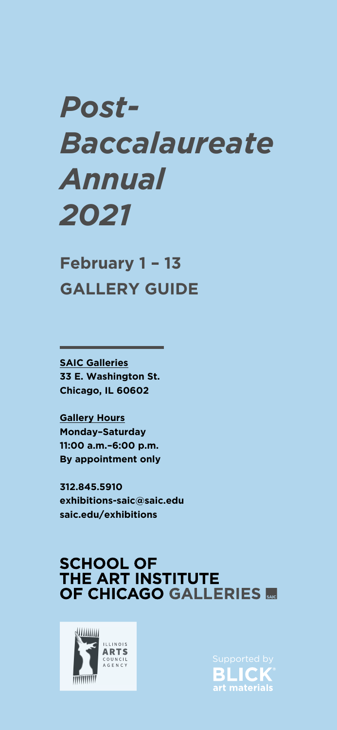# *Post-Baccalaureate Annual 2021*

**February 1 – 13**

**SAIC Galleries 33 E. Washington St. Chicago, IL 60602**

> Supported byBLICK® art materials

**Gallery Hours Monday–Saturday 11:00 a.m.–6:00 p.m. By appointment only** 

**312.845.5910 exhibitions-saic@saic.edu saic.edu/exhibitions**

### **SCHOOL OF** THE ART INSTITUTE OF CHICAGO GALLERIES SAIC



# **GALLERY GUIDE**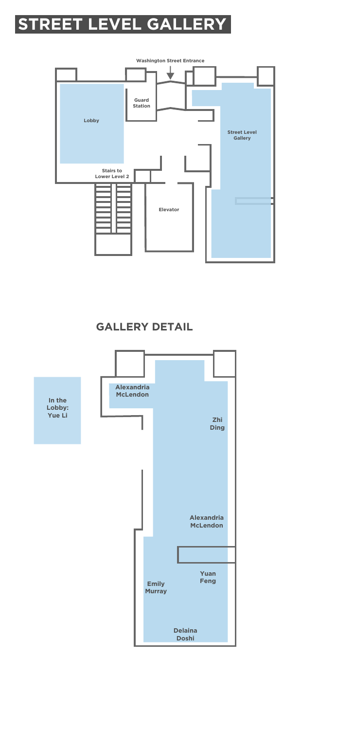# **STREET LEVEL GALLERY**



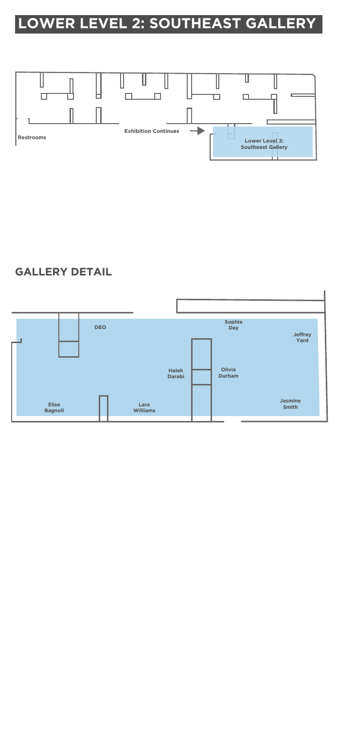## **LOWER LEVEL 2: SOUTHEAST GALLERY**





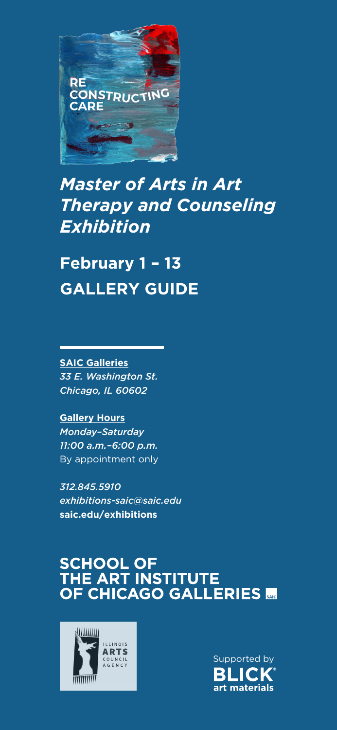

*Master of Arts in Art Therapy and Counseling Exhibition*

**February 1 – 13**

**SAIC Galleries** *33 E. Washington St. Chicago, IL 60602*

**Gallery Hours** *Monday–Saturday 11:00 a.m.–6:00 p.m.* By appointment only

*312.845.5910 exhibitions-saic@saic.edu* **saic.edu/exhibitions**

### SCHOOL OF THE ART INSTITUTE OF CHICAGO GALLERIES SAG



Supported by Supported byBLICK® art materials

# **GALLERY GUIDE**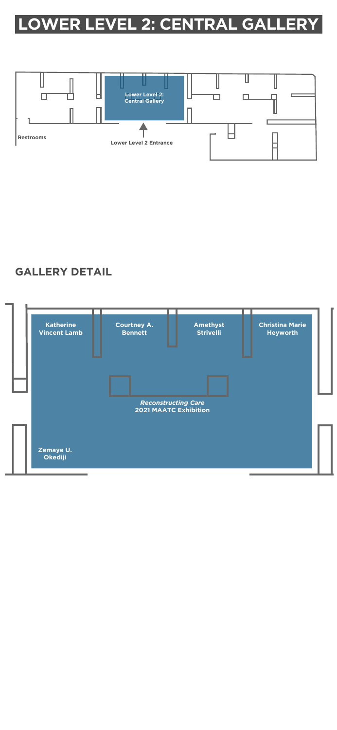# **LOWER LEVEL 2: CENTRAL GALLERY**